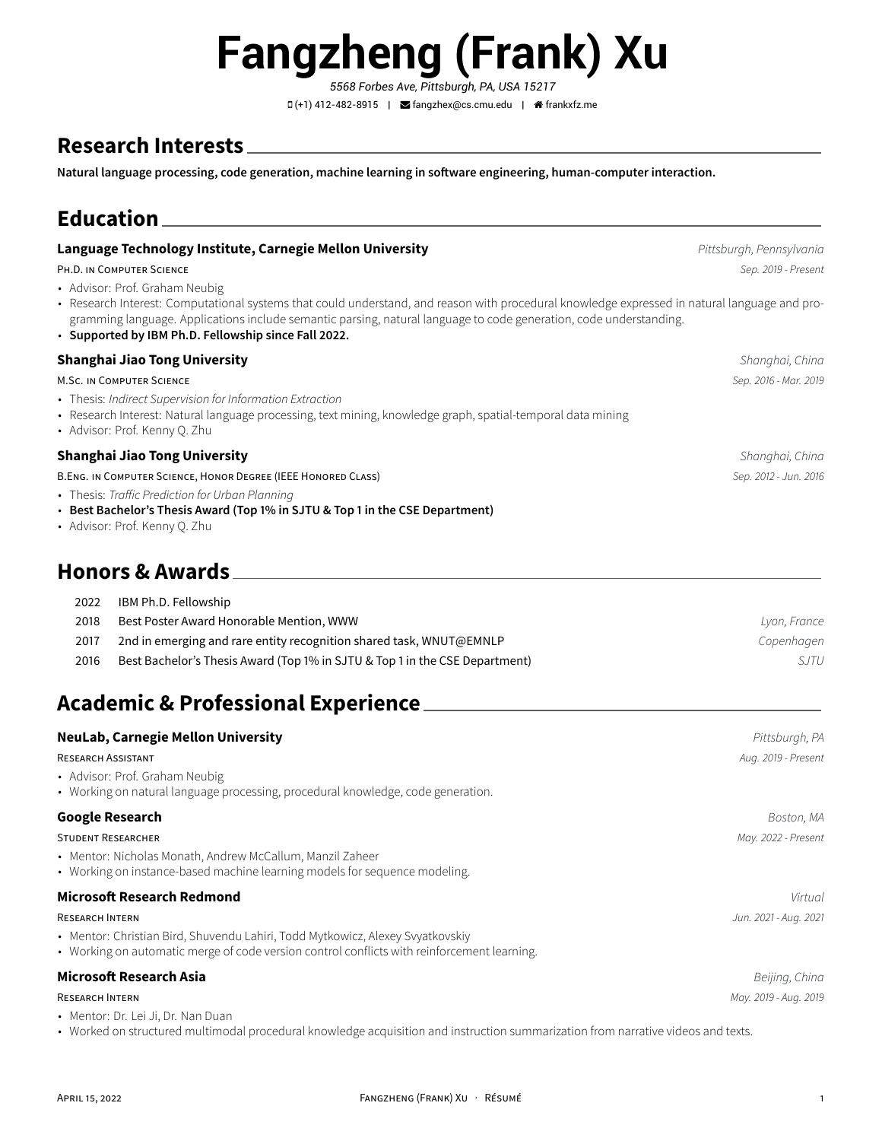# **Fangzheng (Frank) Xu**

*5568 Forbes Ave, Pittsburgh, PA, USA 15217* (+1) 412-482-8915 | [fangzhex@cs.cmu.edu](mailto:fangzhex@cs.cmu.edu) | [frankxfz.me](http://frankxfz.me)

# **Research Interests**

**Natural language processing, code generation, machine learning in software engineering, human-computer interaction.**

# **Education**

### **Language Technology Institute, Carnegie Mellon University** *Pittsburgh, Pennsylvania**Pittsburgh, Pennsylvania*

PH.D. IN COMPUTER SCIENCE *Sep. 2019 - Present*

- Advisor: Prof. Graham Neubig
- Research Interest: Computational systems that could understand, and reason with procedural knowledge expressed in natural language and programming language. Applications include semantic parsing, natural language to code generation, code understanding.
- **Supported by IBM Ph.D. Fellowship since Fall 2022.**

#### **Shanghai Jiao Tong University** *Shanghai, China*

#### M.SC. IN COMPUTER SCIENCE *Sep. 2016 - Mar. 2019*

- Thesis: *Indirect Supervision for Information Extraction*
- Research Interest: Natural language processing, text mining, knowledge graph, spatial-temporal data mining
- Advisor: Prof. Kenny Q. Zhu

#### **Shanghai Jiao Tong University** *Shanghai, China*

B.ENG. IN COMPUTER SCIENCE, HONOR DEGREE (IEEE HONORED CLASS) *Sep. 2012 - Jun. 2016*

- Thesis: *Traffic Prediction for Urban Planning*
- **Best Bachelor's Thesis Award (Top 1% in SJTU & Top 1 in the CSE Department)**
- Advisor: Prof. Kenny Q. Zhu

## **Honors & Awards**

| 2022 | IBM Ph.D. Fellowship                                                        |              |
|------|-----------------------------------------------------------------------------|--------------|
| 2018 | Best Poster Award Honorable Mention, WWW                                    | Lyon, France |
| 2017 | 2nd in emerging and rare entity recognition shared task, WNUT@EMNLP         | Copenhagen   |
| 2016 | Best Bachelor's Thesis Award (Top 1% in SJTU & Top 1 in the CSE Department) | S.ITU        |
|      |                                                                             |              |

# **Academic & Professional Experience**

| <b>NeuLab, Carnegie Mellon University</b>                                                                                                                                     | Pittsburgh, PA        |
|-------------------------------------------------------------------------------------------------------------------------------------------------------------------------------|-----------------------|
| <b>RESEARCH ASSISTANT</b>                                                                                                                                                     | Aug. 2019 - Present   |
| • Advisor: Prof. Graham Neubig<br>• Working on natural language processing, procedural knowledge, code generation.                                                            |                       |
| <b>Google Research</b>                                                                                                                                                        | Boston, MA            |
| <b>STUDENT RESEARCHER</b>                                                                                                                                                     | May. 2022 - Present   |
| • Mentor: Nicholas Monath, Andrew McCallum, Manzil Zaheer<br>• Working on instance-based machine learning models for sequence modeling.                                       |                       |
| <b>Microsoft Research Redmond</b>                                                                                                                                             | Virtual               |
| <b>RESEARCH INTERN</b>                                                                                                                                                        | Jun. 2021 - Aug. 2021 |
| • Mentor: Christian Bird, Shuvendu Lahiri, Todd Mytkowicz, Alexey Svyatkovskiy<br>• Working on automatic merge of code version control conflicts with reinforcement learning. |                       |
| Microsoft Research Asia                                                                                                                                                       | Beijing, China        |
| <b>RESEARCH INTERN</b>                                                                                                                                                        | May. 2019 - Aug. 2019 |
| • Mentor: Dr. Lei Ji, Dr. Nan Duan                                                                                                                                            |                       |

• Worked on structured multimodal procedural knowledge acquisition and instruction summarization from narrative videos and texts.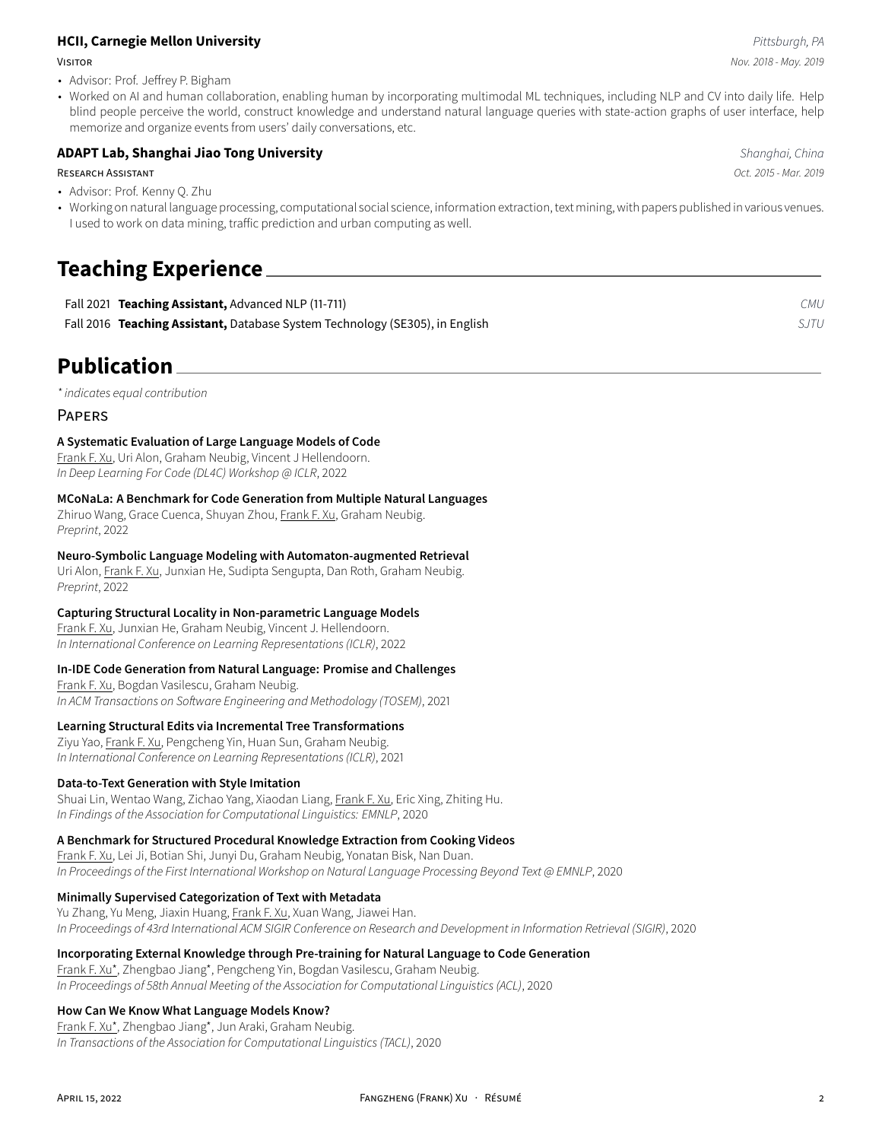#### **HCII, Carnegie Mellon University** *Pittsburgh, PA*

- Advisor: Prof. Jeffrey P. Bigham
- Worked on AI and human collaboration, enabling human by incorporating multimodal ML techniques, including NLP and CV into daily life. Help blind people perceive the world, construct knowledge and understand natural language queries with state-action graphs of user interface, help memorize and organize events from users' daily conversations, etc.

#### **ADAPT Lab, Shanghai Jiao Tong University** *Shanghai, China*

#### RESEARCH ASSISTANT *Oct. 2015 - Mar. 2019*

- Advisor: Prof. Kenny Q. Zhu
- Working on natural language processing, computational social science, information extraction, text mining, with papers published in various venues. I used to work on data mining, traffic prediction and urban computing as well.

# **Teaching Experience**

| Fall 2021 Teaching Assistant, Advanced NLP (11-711)                          | CMU.        |
|------------------------------------------------------------------------------|-------------|
| Fall 2016 Teaching Assistant, Database System Technology (SE305), in English | <i>SJTU</i> |

# **Publication**

*\* indicates equal contribution*

#### PAPERS

#### **A Systematic Evaluation of Large Language Models of Code**

Frank F. Xu, Uri Alon, Graham Neubig, Vincent J Hellendoorn. *In Deep Learning For Code (DL4C) Workshop @ ICLR*, 2022

#### **MCoNaLa: A Benchmark for Code Generation from Multiple Natural Languages**

Zhiruo Wang, Grace Cuenca, Shuyan Zhou, Frank F. Xu, Graham Neubig. *Preprint*, 2022

#### **Neuro-Symbolic Language Modeling with Automaton-augmented Retrieval**

Uri Alon, Frank F. Xu, Junxian He, Sudipta Sengupta, Dan Roth, Graham Neubig. *Preprint*, 2022

#### **Capturing Structural Locality in Non-parametric Language Models**

Frank F. Xu, Junxian He, Graham Neubig, Vincent J. Hellendoorn. *In International Conference on Learning Representations (ICLR)*, 2022

#### **In-IDE Code Generation from Natural Language: Promise and Challenges**

Frank F. Xu, Bogdan Vasilescu, Graham Neubig. *In ACM Transactions on Software Engineering and Methodology (TOSEM)*, 2021

#### **Learning Structural Edits via Incremental Tree Transformations**

Ziyu Yao, Frank F. Xu, Pengcheng Yin, Huan Sun, Graham Neubig. *In International Conference on Learning Representations (ICLR)*, 2021

#### **Data-to-Text Generation with Style Imitation**

Shuai Lin, Wentao Wang, Zichao Yang, Xiaodan Liang, Frank F. Xu, Eric Xing, Zhiting Hu. *In Findings of the Association for Computational Linguistics: EMNLP*, 2020

#### **A Benchmark for Structured Procedural Knowledge Extraction from Cooking Videos**

Frank F. Xu, Lei Ji, Botian Shi, Junyi Du, Graham Neubig, Yonatan Bisk, Nan Duan. *In Proceedings of the First International Workshop on Natural Language Processing Beyond Text @ EMNLP*, 2020

#### **Minimally Supervised Categorization of Text with Metadata**

Yu Zhang, Yu Meng, Jiaxin Huang, Frank F. Xu, Xuan Wang, Jiawei Han. *In Proceedings of 43rd International ACM SIGIR Conference on Research and Development in Information Retrieval (SIGIR)*, 2020

#### **Incorporating External Knowledge through Pre-training for Natural Language to Code Generation**

Frank F. Xu\*, Zhengbao Jiang\*, Pengcheng Yin, Bogdan Vasilescu, Graham Neubig. *In Proceedings of 58th Annual Meeting of the Association for Computational Linguistics (ACL)*, 2020

#### **How Can We Know What Language Models Know?**

Frank F. Xu\*, Zhengbao Jiang\*, Jun Araki, Graham Neubig. *In Transactions of the Association for Computational Linguistics (TACL)*, 2020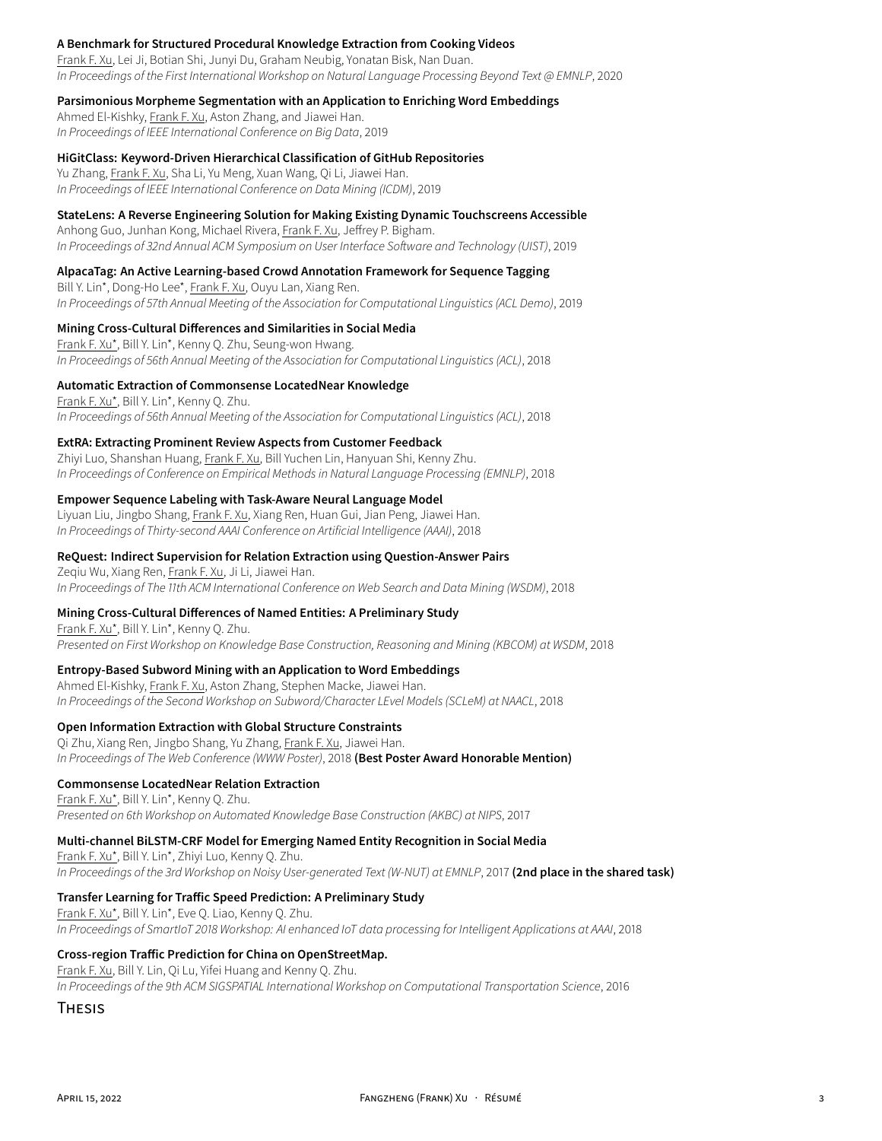#### **A Benchmark for Structured Procedural Knowledge Extraction from Cooking Videos**

Frank F. Xu, Lei Ji, Botian Shi, Junyi Du, Graham Neubig, Yonatan Bisk, Nan Duan. *In Proceedings of the First International Workshop on Natural Language Processing Beyond Text @ EMNLP*, 2020

#### **Parsimonious Morpheme Segmentation with an Application to Enriching Word Embeddings**

Ahmed El-Kishky, Frank F. Xu, Aston Zhang, and Jiawei Han. *In Proceedings of IEEE International Conference on Big Data*, 2019

#### **HiGitClass: Keyword-Driven Hierarchical Classification of GitHub Repositories**

Yu Zhang, Frank F. Xu, Sha Li, Yu Meng, Xuan Wang, Qi Li, Jiawei Han. *In Proceedings of IEEE International Conference on Data Mining (ICDM)*, 2019

#### **StateLens: A Reverse Engineering Solution for Making Existing Dynamic Touchscreens Accessible**

Anhong Guo, Junhan Kong, Michael Rivera, Frank F. Xu, Jeffrey P. Bigham. *In Proceedings of 32nd Annual ACM Symposium on User Interface Software and Technology (UIST)*, 2019

#### **AlpacaTag: An Active Learning-based Crowd Annotation Framework for Sequence Tagging**

Bill Y. Lin\*, Dong-Ho Lee\*, Frank F. Xu, Ouyu Lan, Xiang Ren. *In Proceedings of 57th Annual Meeting of the Association for Computational Linguistics (ACL Demo)*, 2019

#### **Mining Cross-Cultural Differences and Similarities in Social Media**

Frank F. Xu\*, Bill Y. Lin\*, Kenny Q. Zhu, Seung-won Hwang. *In Proceedings of 56th Annual Meeting of the Association for Computational Linguistics (ACL)*, 2018

#### **Automatic Extraction of Commonsense LocatedNear Knowledge**

Frank F. Xu\*, Bill Y. Lin\*, Kenny Q. Zhu. *In Proceedings of 56th Annual Meeting of the Association for Computational Linguistics (ACL)*, 2018

#### **ExtRA: Extracting Prominent Review Aspects from Customer Feedback**

Zhiyi Luo, Shanshan Huang, Frank F. Xu, Bill Yuchen Lin, Hanyuan Shi, Kenny Zhu. *In Proceedings of Conference on Empirical Methods in Natural Language Processing (EMNLP)*, 2018

#### **Empower Sequence Labeling with Task-Aware Neural Language Model**

Liyuan Liu, Jingbo Shang, Frank F. Xu, Xiang Ren, Huan Gui, Jian Peng, Jiawei Han. *In Proceedings of Thirty-second AAAI Conference on Artificial Intelligence (AAAI)*, 2018

#### **ReQuest: Indirect Supervision for Relation Extraction using Question-Answer Pairs**

Zeqiu Wu, Xiang Ren, Frank F. Xu, Ji Li, Jiawei Han. *In Proceedings of The 11th ACM International Conference on Web Search and Data Mining (WSDM)*, 2018

#### **Mining Cross-Cultural Differences of Named Entities: A Preliminary Study**

Frank F. Xu\*, Bill Y. Lin\*, Kenny Q. Zhu. *Presented on First Workshop on Knowledge Base Construction, Reasoning and Mining (KBCOM) at WSDM*, 2018

#### **Entropy-Based Subword Mining with an Application to Word Embeddings**

Ahmed El-Kishky, Frank F. Xu, Aston Zhang, Stephen Macke, Jiawei Han. *In Proceedings of the Second Workshop on Subword/Character LEvel Models (SCLeM) at NAACL*, 2018

#### **Open Information Extraction with Global Structure Constraints**

Qi Zhu, Xiang Ren, Jingbo Shang, Yu Zhang, Frank F. Xu, Jiawei Han. *In Proceedings of The Web Conference (WWW Poster)*, 2018 **(Best Poster Award Honorable Mention)**

#### **Commonsense LocatedNear Relation Extraction**

Frank F. Xu\*, Bill Y. Lin\*, Kenny Q. Zhu. *Presented on 6th Workshop on Automated Knowledge Base Construction (AKBC) at NIPS*, 2017

#### **Multi-channel BiLSTM-CRF Model for Emerging Named Entity Recognition in Social Media**

Frank F. Xu\*, Bill Y. Lin\*, Zhiyi Luo, Kenny Q. Zhu. *In Proceedings of the 3rd Workshop on Noisy User-generated Text (W-NUT) at EMNLP*, 2017 **(2nd place in the shared task)**

#### **Transfer Learning for Traffic Speed Prediction: A Preliminary Study**

Frank F. Xu\*, Bill Y. Lin\*, Eve Q. Liao, Kenny Q. Zhu. *In Proceedings of SmartIoT 2018 Workshop: AI enhanced IoT data processing for Intelligent Applications at AAAI*, 2018

#### **Cross-region Traffic Prediction for China on OpenStreetMap.**

Frank F. Xu, Bill Y. Lin, Qi Lu, Yifei Huang and Kenny Q. Zhu. *In Proceedings of the 9th ACM SIGSPATIAL International Workshop on Computational Transportation Science*, 2016

#### **THESIS**